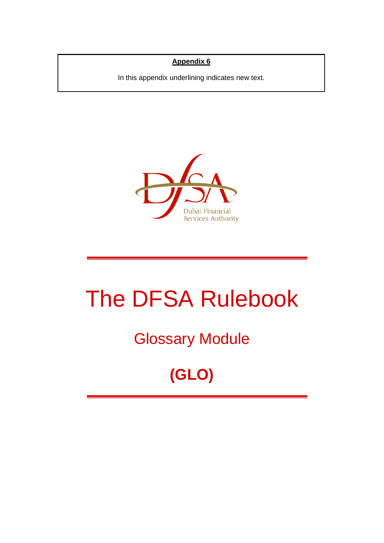#### **Appendix 6**

In this appendix underlining indicates new text.



# The DFSA Rulebook

# Glossary Module

# **(GLO)**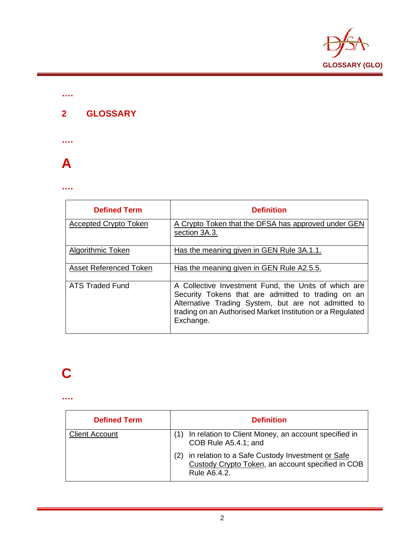

#### **2 GLOSSARY**

**….**

**….**



#### **….**

| <b>Defined Term</b>           | <b>Definition</b>                                                                                                                                                                                                                            |
|-------------------------------|----------------------------------------------------------------------------------------------------------------------------------------------------------------------------------------------------------------------------------------------|
| <b>Accepted Crypto Token</b>  | A Crypto Token that the DFSA has approved under GEN<br>section 3A.3.                                                                                                                                                                         |
| <b>Algorithmic Token</b>      | Has the meaning given in GEN Rule 3A.1.1.                                                                                                                                                                                                    |
| <b>Asset Referenced Token</b> | Has the meaning given in GEN Rule A2.5.5.                                                                                                                                                                                                    |
| ATS Traded Fund               | A Collective Investment Fund, the Units of which are<br>Security Tokens that are admitted to trading on an<br>Alternative Trading System, but are not admitted to<br>trading on an Authorised Market Institution or a Regulated<br>Exchange. |

### **C**

| <b>Defined Term</b>   | <b>Definition</b>                                                                                                     |
|-----------------------|-----------------------------------------------------------------------------------------------------------------------|
| <b>Client Account</b> | In relation to Client Money, an account specified in<br>COB Rule A5.4.1; and                                          |
|                       | in relation to a Safe Custody Investment or Safe<br>Custody Crypto Token, an account specified in COB<br>Rule A6.4.2. |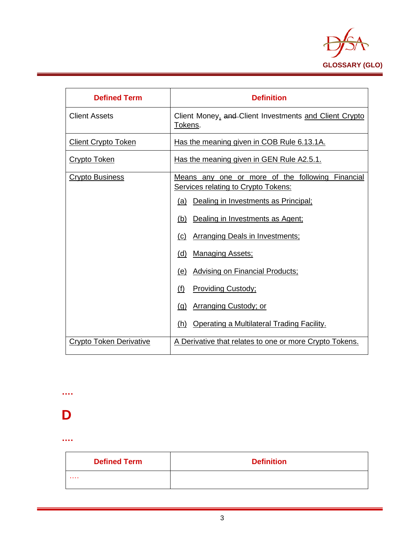

| <b>Defined Term</b>        | <b>Definition</b>                                                                                                                                                                                                                                                                                                                                                                         |
|----------------------------|-------------------------------------------------------------------------------------------------------------------------------------------------------------------------------------------------------------------------------------------------------------------------------------------------------------------------------------------------------------------------------------------|
| <b>Client Assets</b>       | Client Money, and Client Investments and Client Crypto<br>Tokens.                                                                                                                                                                                                                                                                                                                         |
| <b>Client Crypto Token</b> | Has the meaning given in COB Rule 6.13.1A.                                                                                                                                                                                                                                                                                                                                                |
| <b>Crypto Token</b>        | Has the meaning given in GEN Rule A2.5.1.                                                                                                                                                                                                                                                                                                                                                 |
| <b>Crypto Business</b>     | Means any one or more of the following Financial<br>Services relating to Crypto Tokens:<br>Dealing in Investments as Principal;<br>(a)<br>Dealing in Investments as Agent;<br>(b)<br><b>Arranging Deals in Investments:</b><br>(C)<br><b>Managing Assets;</b><br>(d)<br><b>Advising on Financial Products;</b><br>(e)<br><b>Providing Custody;</b><br>(f)<br>Arranging Custody; or<br>(q) |
| Crypto Token Derivative    | Operating a Multilateral Trading Facility.<br>(h)<br>A Derivative that relates to one or more Crypto Tokens.                                                                                                                                                                                                                                                                              |

## **D**

**….**

| <b>Defined Term</b> | <b>Definition</b> |
|---------------------|-------------------|
| .                   |                   |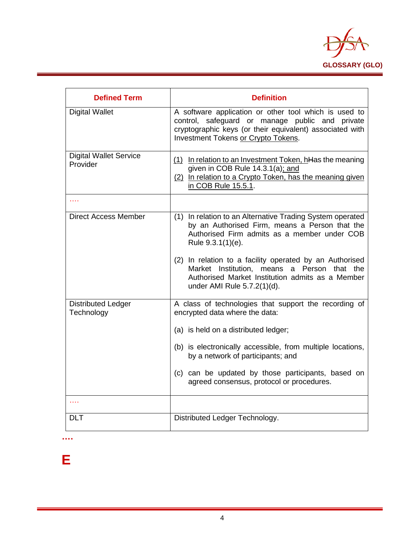

| <b>Defined Term</b>                       | <b>Definition</b>                                                                                                                                                                                           |
|-------------------------------------------|-------------------------------------------------------------------------------------------------------------------------------------------------------------------------------------------------------------|
| <b>Digital Wallet</b>                     | A software application or other tool which is used to<br>control, safeguard or manage public and private<br>cryptographic keys (or their equivalent) associated with<br>Investment Tokens or Crypto Tokens. |
| <b>Digital Wallet Service</b><br>Provider | (1) In relation to an Investment Token, hHas the meaning<br>given in COB Rule 14.3.1(a); and<br>(2) In relation to a Crypto Token, has the meaning given<br>in COB Rule 15.5.1.                             |
| .                                         |                                                                                                                                                                                                             |
| <b>Direct Access Member</b>               | (1) In relation to an Alternative Trading System operated<br>by an Authorised Firm, means a Person that the<br>Authorised Firm admits as a member under COB<br>Rule 9.3.1(1)(e).                            |
|                                           | (2) In relation to a facility operated by an Authorised<br>Market Institution, means a Person that the<br>Authorised Market Institution admits as a Member<br>under AMI Rule 5.7.2(1)(d).                   |
| <b>Distributed Ledger</b><br>Technology   | A class of technologies that support the recording of<br>encrypted data where the data:                                                                                                                     |
|                                           | (a) is held on a distributed ledger;                                                                                                                                                                        |
|                                           | (b) is electronically accessible, from multiple locations,<br>by a network of participants; and                                                                                                             |
|                                           | (c) can be updated by those participants, based on<br>agreed consensus, protocol or procedures.                                                                                                             |
| .                                         |                                                                                                                                                                                                             |
| <b>DLT</b>                                | Distributed Ledger Technology.                                                                                                                                                                              |

**….**

**E**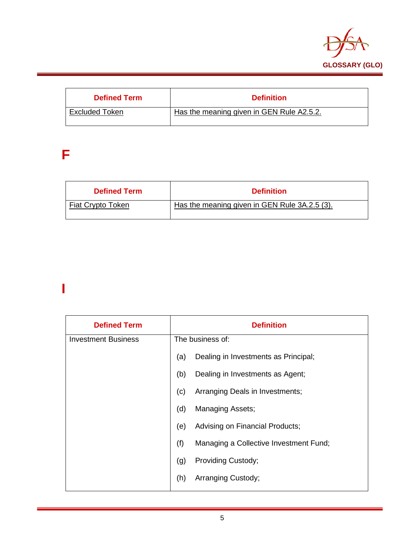

| <b>Defined Term</b> | <b>Definition</b>                         |
|---------------------|-------------------------------------------|
| Excluded Token      | Has the meaning given in GEN Rule A2.5.2. |

### **F**

| <b>Defined Term</b> | <b>Definition</b>                             |
|---------------------|-----------------------------------------------|
| Fiat Crypto Token   | Has the meaning given in GEN Rule 3A.2.5 (3). |

### **I**

| <b>Defined Term</b>        |     | <b>Definition</b>                      |
|----------------------------|-----|----------------------------------------|
| <b>Investment Business</b> |     | The business of:                       |
|                            | (a) | Dealing in Investments as Principal;   |
|                            | (b) | Dealing in Investments as Agent;       |
|                            | (c) | Arranging Deals in Investments;        |
|                            | (d) | Managing Assets;                       |
|                            | (e) | Advising on Financial Products;        |
|                            | (f) | Managing a Collective Investment Fund; |
|                            | (g) | Providing Custody;                     |
|                            | (h) | Arranging Custody;                     |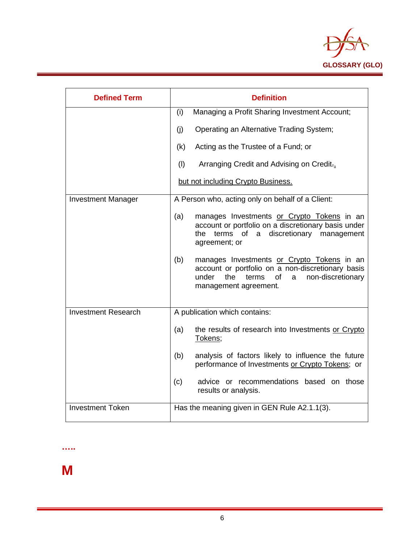

| <b>Defined Term</b>        | <b>Definition</b>                                                                                                                                                                        |
|----------------------------|------------------------------------------------------------------------------------------------------------------------------------------------------------------------------------------|
|                            | Managing a Profit Sharing Investment Account;<br>(i)                                                                                                                                     |
|                            | Operating an Alternative Trading System;<br>(i)                                                                                                                                          |
|                            | Acting as the Trustee of a Fund; or<br>(k)                                                                                                                                               |
|                            | (1)<br>Arranging Credit and Advising on Credit.                                                                                                                                          |
|                            | but not including Crypto Business.                                                                                                                                                       |
| <b>Investment Manager</b>  | A Person who, acting only on behalf of a Client:                                                                                                                                         |
|                            | (a)<br>manages Investments or Crypto Tokens in an<br>account or portfolio on a discretionary basis under<br>terms of a discretionary management<br>the<br>agreement; or                  |
|                            | (b)<br>manages Investments or Crypto Tokens in an<br>account or portfolio on a non-discretionary basis<br>non-discretionary<br>under<br>the<br>of<br>terms<br>a<br>management agreement. |
| <b>Investment Research</b> | A publication which contains:                                                                                                                                                            |
|                            | the results of research into Investments or Crypto<br>(a)<br>Tokens;                                                                                                                     |
|                            | analysis of factors likely to influence the future<br>(b)<br>performance of Investments or Crypto Tokens; or                                                                             |
|                            | (c)<br>advice or recommendations based on those<br>results or analysis.                                                                                                                  |
| <b>Investment Token</b>    | Has the meaning given in GEN Rule A2.1.1(3).                                                                                                                                             |

**M**

**…..**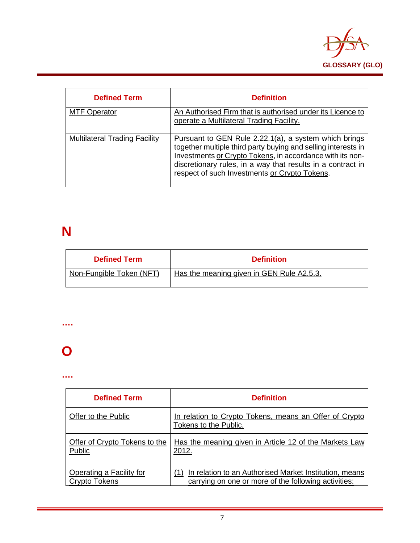

| <b>Defined Term</b>                  | <b>Definition</b>                                                                                                                                                                                                                                                                                   |
|--------------------------------------|-----------------------------------------------------------------------------------------------------------------------------------------------------------------------------------------------------------------------------------------------------------------------------------------------------|
| <b>MTF Operator</b>                  | An Authorised Firm that is authorised under its Licence to<br>operate a Multilateral Trading Facility.                                                                                                                                                                                              |
| <b>Multilateral Trading Facility</b> | Pursuant to GEN Rule 2.22.1(a), a system which brings<br>together multiple third party buying and selling interests in<br>Investments or Crypto Tokens, in accordance with its non-<br>discretionary rules, in a way that results in a contract in<br>respect of such Investments or Crypto Tokens. |

### **N**

| <b>Defined Term</b>      | <b>Definition</b>                         |
|--------------------------|-------------------------------------------|
| Non-Fungible Token (NFT) | Has the meaning given in GEN Rule A2.5.3. |

#### **….**

### **O**

| <b>Defined Term</b>           | <b>Definition</b>                                                               |
|-------------------------------|---------------------------------------------------------------------------------|
| Offer to the Public           | In relation to Crypto Tokens, means an Offer of Crypto<br>Tokens to the Public. |
| Offer of Crypto Tokens to the | Has the meaning given in Article 12 of the Markets Law                          |
| Public                        | 2012.                                                                           |
| Operating a Facility for      | In relation to an Authorised Market Institution, means                          |
| Crypto Tokens                 | carrying on one or more of the following activities:                            |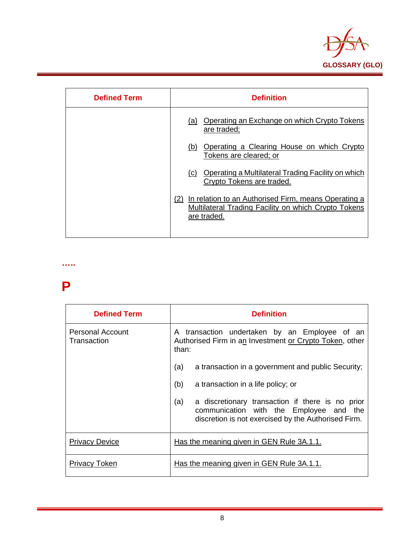

| <b>Defined Term</b> | <b>Definition</b>                                                                                                               |
|---------------------|---------------------------------------------------------------------------------------------------------------------------------|
|                     | Operating an Exchange on which Crypto Tokens<br>(a)<br>are traded;                                                              |
|                     | Operating a Clearing House on which Crypto<br>(b)<br>Tokens are cleared; or                                                     |
|                     | Operating a Multilateral Trading Facility on which<br>(C)<br>Crypto Tokens are traded.                                          |
|                     | (2) In relation to an Authorised Firm, means Operating a<br>Multilateral Trading Facility on which Crypto Tokens<br>are traded. |

### **P**

**…..**

| <b>Defined Term</b>                    | <b>Definition</b>                                                                                                                                         |
|----------------------------------------|-----------------------------------------------------------------------------------------------------------------------------------------------------------|
| <b>Personal Account</b><br>Transaction | A transaction undertaken by an Employee of an<br>Authorised Firm in an Investment or Crypto Token, other<br>than:                                         |
|                                        | a transaction in a government and public Security;<br>(a)                                                                                                 |
|                                        | (b)<br>a transaction in a life policy; or                                                                                                                 |
|                                        | (a)<br>a discretionary transaction if there is no prior<br>communication with the Employee and the<br>discretion is not exercised by the Authorised Firm. |
| <b>Privacy Device</b>                  | Has the meaning given in GEN Rule 3A.1.1.                                                                                                                 |
| Privacy Token                          | Has the meaning given in GEN Rule 3A.1.1.                                                                                                                 |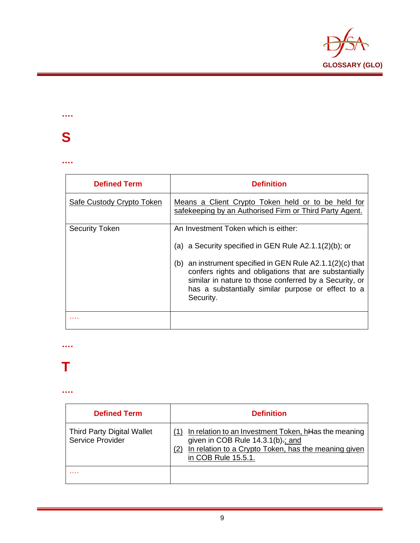

### **….**

### **S**

#### **….**

| <b>Defined Term</b>       | <b>Definition</b>                                                                                                                                                                                                                                                                                                                                      |
|---------------------------|--------------------------------------------------------------------------------------------------------------------------------------------------------------------------------------------------------------------------------------------------------------------------------------------------------------------------------------------------------|
| Safe Custody Crypto Token | Means a Client Crypto Token held or to be held for<br>safekeeping by an Authorised Firm or Third Party Agent.                                                                                                                                                                                                                                          |
| <b>Security Token</b>     | An Investment Token which is either:<br>(a) a Security specified in GEN Rule $A2.1.1(2)(b)$ ; or<br>an instrument specified in GEN Rule A2.1.1(2)(c) that<br>(b)<br>confers rights and obligations that are substantially<br>similar in nature to those conferred by a Security, or<br>has a substantially similar purpose or effect to a<br>Security. |
|                           |                                                                                                                                                                                                                                                                                                                                                        |

#### **….**

### **T**

| <b>Defined Term</b>                                          | <b>Definition</b>                                                                                                                                                                  |
|--------------------------------------------------------------|------------------------------------------------------------------------------------------------------------------------------------------------------------------------------------|
| <b>Third Party Digital Wallet</b><br><b>Service Provider</b> | In relation to an Investment Token, hHas the meaning<br>given in COB Rule $14.3.1(b)$ .; and<br>In relation to a Crypto Token, has the meaning given<br>(2)<br>in COB Rule 15.5.1. |
| .                                                            |                                                                                                                                                                                    |